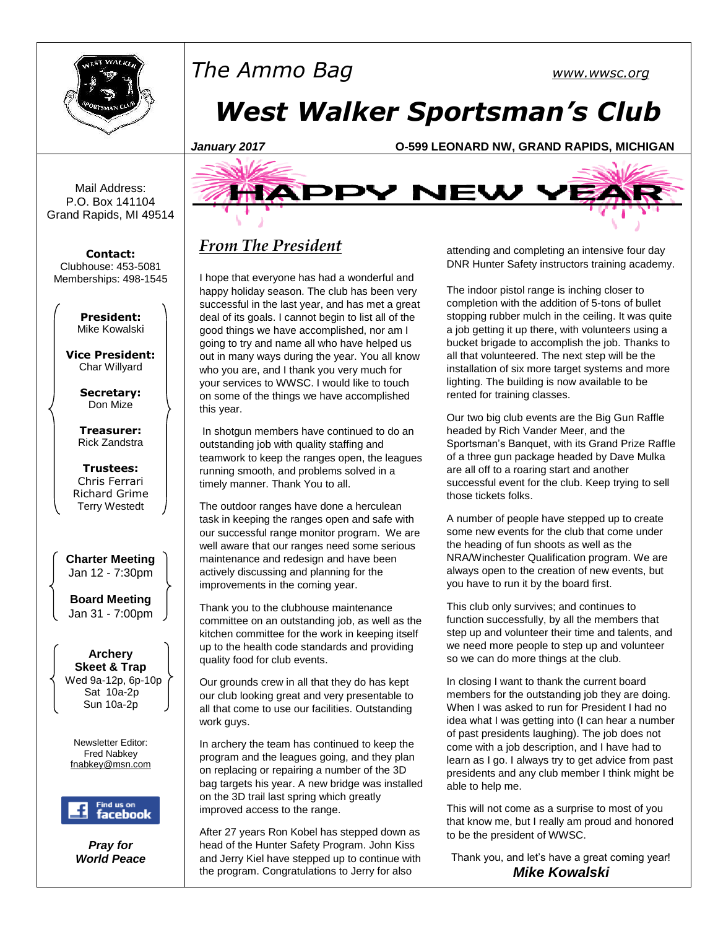

Mail Address: P.O. Box 141104 Grand Rapids, MI 49514

**Contact:** Clubhouse: 453-5081 Memberships: 498-1545

> **President:** Mike Kowalski

**Vice President:** Char Willyard

> **Secretary:** Don Mize

**Treasurer:** Rick Zandstra

**Trustees:** Chris Ferrari Richard Grime Terry Westedt

**Charter Meeting**  Jan 12 - 7:30pm

**Board Meeting** Jan 31 - 7:00pm

**Archery Skeet & Trap** Wed 9a-12p, 6p-10p Sat 10a-2p Sun 10a-2p

Newsletter Editor: Fred Nabkey [fnabkey@msn.com](mailto:fnabkey@msn.com)



*Pray for World Peace*

# *The Ammo Bag [www.wwsc.org](http://www.wwsc.org/) West Walker Sportsman's Club*





# *From The President*

I hope that everyone has had a wonderful and happy holiday season. The club has been very successful in the last year, and has met a great deal of its goals. I cannot begin to list all of the good things we have accomplished, nor am I going to try and name all who have helped us out in many ways during the year. You all know who you are, and I thank you very much for your services to WWSC. I would like to touch on some of the things we have accomplished this year.

In shotgun members have continued to do an outstanding job with quality staffing and teamwork to keep the ranges open, the leagues running smooth, and problems solved in a timely manner. Thank You to all.

The outdoor ranges have done a herculean task in keeping the ranges open and safe with our successful range monitor program. We are well aware that our ranges need some serious maintenance and redesign and have been actively discussing and planning for the improvements in the coming year.

Thank you to the clubhouse maintenance committee on an outstanding job, as well as the kitchen committee for the work in keeping itself up to the health code standards and providing quality food for club events.

Our grounds crew in all that they do has kept our club looking great and very presentable to all that come to use our facilities. Outstanding work guys.

In archery the team has continued to keep the program and the leagues going, and they plan on replacing or repairing a number of the 3D bag targets his year. A new bridge was installed on the 3D trail last spring which greatly improved access to the range.

After 27 years Ron Kobel has stepped down as head of the Hunter Safety Program. John Kiss and Jerry Kiel have stepped up to continue with the program. Congratulations to Jerry for also

attending and completing an intensive four day DNR Hunter Safety instructors training academy.

The indoor pistol range is inching closer to completion with the addition of 5-tons of bullet stopping rubber mulch in the ceiling. It was quite a job getting it up there, with volunteers using a bucket brigade to accomplish the job. Thanks to all that volunteered. The next step will be the installation of six more target systems and more lighting. The building is now available to be rented for training classes.

Our two big club events are the Big Gun Raffle headed by Rich Vander Meer, and the Sportsman's Banquet, with its Grand Prize Raffle of a three gun package headed by Dave Mulka are all off to a roaring start and another successful event for the club. Keep trying to sell those tickets folks.

A number of people have stepped up to create some new events for the club that come under the heading of fun shoots as well as the NRA/Winchester Qualification program. We are always open to the creation of new events, but you have to run it by the board first.

This club only survives; and continues to function successfully, by all the members that step up and volunteer their time and talents, and we need more people to step up and volunteer so we can do more things at the club.

In closing I want to thank the current board members for the outstanding job they are doing. When I was asked to run for President I had no idea what I was getting into (I can hear a number of past presidents laughing). The job does not come with a job description, and I have had to learn as I go. I always try to get advice from past presidents and any club member I think might be able to help me.

This will not come as a surprise to most of you that know me, but I really am proud and honored to be the president of WWSC.

Thank you, and let's have a great coming year! *Mike Kowalski*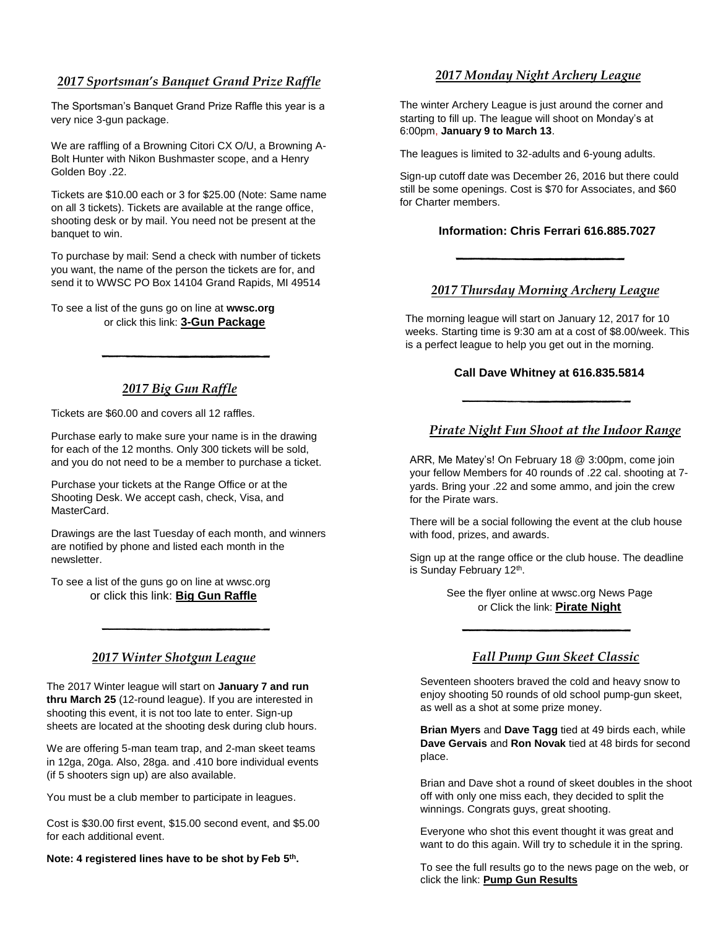## *2017 Sportsman's Banquet Grand Prize Raffle*

The Sportsman's Banquet Grand Prize Raffle this year is a very nice 3-gun package.

We are raffling of a Browning Citori CX O/U, a Browning A-Bolt Hunter with Nikon Bushmaster scope, and a Henry Golden Boy .22.

Tickets are \$10.00 each or 3 for \$25.00 (Note: Same name on all 3 tickets). Tickets are available at the range office, shooting desk or by mail. You need not be present at the banquet to win.

To purchase by mail: Send a check with number of tickets you want, the name of the person the tickets are for, and send it to WWSC PO Box 14104 Grand Rapids, MI 49514

To see a list of the guns go on line at **wwsc.org** or click this link: **[3-Gun Package](http://www.wwsc.org/img/archives/2016/2017.GrandRaffleFlyer.8.5x11.pdf)**

# *2017 Big Gun Raffle*

Tickets are \$60.00 and covers all 12 raffles.

Purchase early to make sure your name is in the drawing for each of the 12 months. Only 300 tickets will be sold, and you do not need to be a member to purchase a ticket.

Purchase your tickets at the Range Office or at the Shooting Desk. We accept cash, check, Visa, and MasterCard.

Drawings are the last Tuesday of each month, and winners are notified by phone and listed each month in the newsletter.

To see a list of the guns go on line at wwsc.org or click this link: **[Big Gun Raffle](http://www.wwsc.org/img/archives/2016/2017BGR.16x22.Poster.pdf)**

## *2017 Winter Shotgun League*

The 2017 Winter league will start on **January 7 and run thru March 25** (12-round league). If you are interested in shooting this event, it is not too late to enter. Sign-up sheets are located at the shooting desk during club hours.

We are offering 5-man team trap, and 2-man skeet teams in 12ga, 20ga. Also, 28ga. and .410 bore individual events (if 5 shooters sign up) are also available.

You must be a club member to participate in leagues.

Cost is \$30.00 first event, \$15.00 second event, and \$5.00 for each additional event.

**Note: 4 registered lines have to be shot by Feb 5 th .**

# *2017 Monday Night Archery League*

The winter Archery League is just around the corner and starting to fill up. The league will shoot on Monday's at 6:00pm, **January 9 to March 13**.

The leagues is limited to 32-adults and 6-young adults.

Sign-up cutoff date was December 26, 2016 but there could still be some openings. Cost is \$70 for Associates, and \$60 for Charter members.

#### **Information: Chris Ferrari 616.885.7027**

# *2017 Thursday Morning Archery League*

The morning league will start on January 12, 2017 for 10 weeks. Starting time is 9:30 am at a cost of \$8.00/week. This is a perfect league to help you get out in the morning.

#### **Call Dave Whitney at 616.835.5814**

### *Pirate Night Fun Shoot at the Indoor Range*

ARR, Me Matey's! On February 18 @ 3:00pm, come join your fellow Members for 40 rounds of .22 cal. shooting at 7 yards. Bring your .22 and some ammo, and join the crew for the Pirate wars.

There will be a social following the event at the club house with food, prizes, and awards.

Sign up at the range office or the club house. The deadline is Sunday February 12<sup>th</sup>.

> See the flyer online at wwsc.org News Page or Click the link: **[Pirate Night](http://www.wwsc.org/img/archives/2016/PirateFlyer2017.pdf)**

## *Fall Pump Gun Skeet Classic*

Seventeen shooters braved the cold and heavy snow to enjoy shooting 50 rounds of old school pump-gun skeet, as well as a shot at some prize money.

**Brian Myers** and **Dave Tagg** tied at 49 birds each, while **Dave Gervais** and **Ron Novak** tied at 48 birds for second place.

Brian and Dave shot a round of skeet doubles in the shoot off with only one miss each, they decided to split the winnings. Congrats guys, great shooting.

Everyone who shot this event thought it was great and want to do this again. Will try to schedule it in the spring.

To see the full results go to the news page on the web, or click the link: **[Pump Gun Results](http://www.wwsc.org/img/archives/2016/2016_Fall_%20Skeet_Classic_Results.pdf)**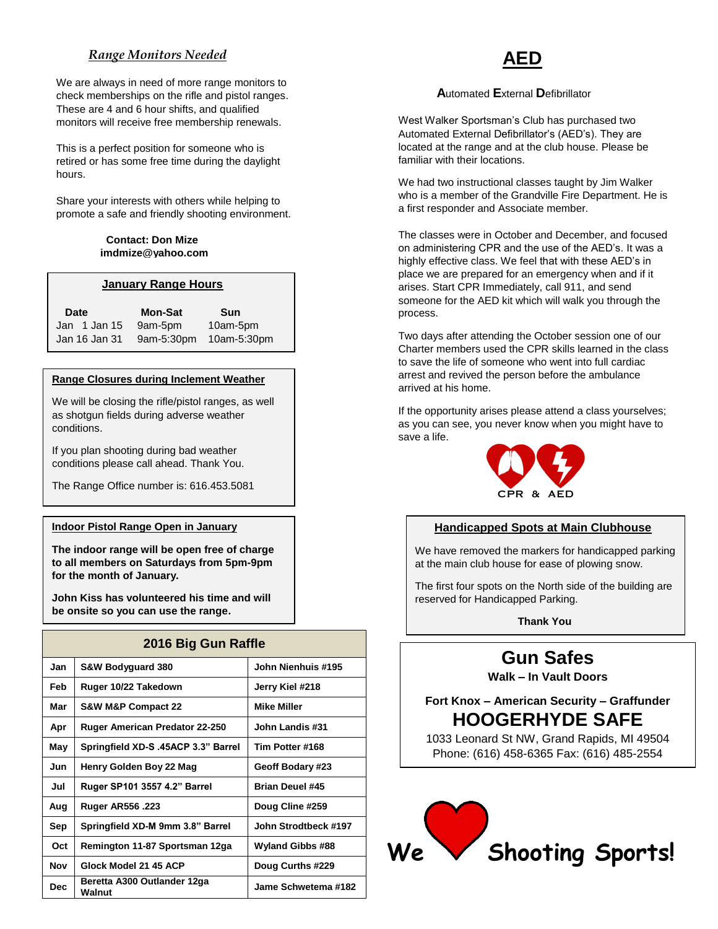# *Range Monitors Needed*

We are always in need of more range monitors to check memberships on the rifle and pistol ranges. These are 4 and 6 hour shifts, and qualified monitors will receive free membership renewals.

This is a perfect position for someone who is retired or has some free time during the daylight hours.

Share your interests with others while helping to promote a safe and friendly shooting environment.

#### **Contact: Don Mize [imdmize@yahoo.com](mailto:imdmize@yahoo.com)**

#### **January Range Hours**

| <b>Date</b>      | <b>Mon-Sat</b> | <b>Sun</b>             |  |
|------------------|----------------|------------------------|--|
| Jan $1$ Jan $15$ | 9am-5pm        | 10am-5pm               |  |
| Jan 16 Jan 31    |                | 9am-5:30pm 10am-5:30pm |  |

#### **Range Closures during Inclement Weather**

We will be closing the rifle/pistol ranges, as well as shotgun fields during adverse weather conditions.

If you plan shooting during bad weather conditions please call ahead. Thank You.

The Range Office number is: 616.453.5081

#### **Indoor Pistol Range Open in January**

**The indoor range will be open free of charge to all members on Saturdays from 5pm-9pm for the month of January.**

**John Kiss has volunteered his time and will be onsite so you can use the range.**

| 2016 Big Gun Raffle |                                       |                         |  |  |  |
|---------------------|---------------------------------------|-------------------------|--|--|--|
| Jan                 | S&W Bodyguard 380                     | John Nienhuis #195      |  |  |  |
| Feb                 | Ruger 10/22 Takedown                  | Jerry Kiel #218         |  |  |  |
| Mar                 | <b>S&amp;W M&amp;P Compact 22</b>     | <b>Mike Miller</b>      |  |  |  |
| Apr                 | <b>Ruger American Predator 22-250</b> | John Landis #31         |  |  |  |
| May                 | Springfield XD-S .45ACP 3.3" Barrel   | Tim Potter #168         |  |  |  |
| Jun                 | Henry Golden Boy 22 Mag               | Geoff Bodary #23        |  |  |  |
| Jul                 | Ruger SP101 3557 4.2" Barrel          | <b>Brian Deuel #45</b>  |  |  |  |
| Aug                 | <b>Ruger AR556 .223</b>               | Doug Cline #259         |  |  |  |
| Sep                 | Springfield XD-M 9mm 3.8" Barrel      | John Strodtbeck #197    |  |  |  |
| Oct                 | Remington 11-87 Sportsman 12ga        | <b>Wyland Gibbs #88</b> |  |  |  |
| <b>Nov</b>          | Glock Model 21 45 ACP                 | Doug Curths #229        |  |  |  |
| Dec.                | Beretta A300 Outlander 12ga<br>Walnut | Jame Schwetema #182     |  |  |  |

# **AED**

#### **A**utomated **E**xternal **D**efibrillator

West Walker Sportsman's Club has purchased two Automated External Defibrillator's (AED's). They are located at the range and at the club house. Please be familiar with their locations.

We had two instructional classes taught by Jim Walker who is a member of the Grandville Fire Department. He is a first responder and Associate member.

The classes were in October and December, and focused on administering CPR and the use of the AED's. It was a highly effective class. We feel that with these AED's in place we are prepared for an emergency when and if it arises. Start CPR Immediately, call 911, and send someone for the AED kit which will walk you through the process.

Two days after attending the October session one of our Charter members used the CPR skills learned in the class to save the life of someone who went into full cardiac arrest and revived the person before the ambulance arrived at his home.

If the opportunity arises please attend a class yourselves; as you can see, you never know when you might have to save a life.



#### **Handicapped Spots at Main Clubhouse**

We have removed the markers for handicapped parking at the main club house for ease of plowing snow.

The first four spots on the North side of the building are reserved for Handicapped Parking.

**Thank You**

# **Gun Safes**

**Walk – In Vault Doors**

# **Fort Knox – American Security – Graffunder HOOGERHYDE SAFE**

1033 Leonard St NW, Grand Rapids, MI 49504 Phone: (616) 458-6365 Fax: (616) 485-2554